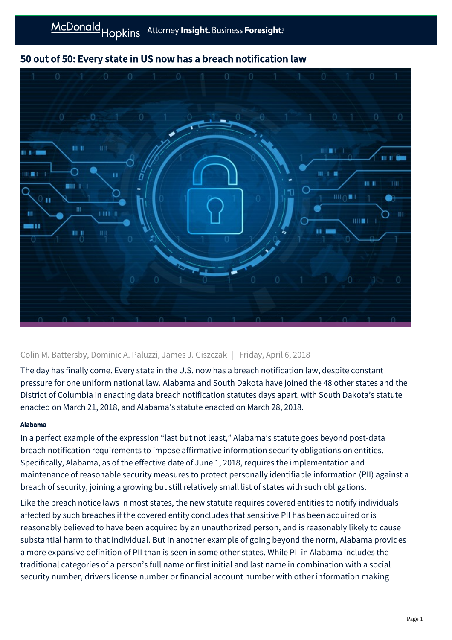

# 50 out of 50: Every state in US now has a breach notification law

## Colin M. Battersby, Dominic A. Paluzzi, James J. Giszczak | Friday, April 6, 2018

The day has finally come. Every state in the U.S. now has a breach notification law, despite constant pressure for one uniform national law. Alabama and South Dakota have joined the 48 other states and the District of Columbia in enacting data breach notification statutes days apart, with South Dakota's statute enacted on March 21, 2018, and Alabama's statute enacted on March 28, 2018.

### Alabama

In a perfect example of the expression "last but not least," Alabama's statute goes beyond post-data breach notification requirements to impose affirmative information security obligations on entities. Specifically, Alabama, as of the effective date of June 1, 2018, requires the implementation and maintenance of reasonable security measures to protect personally identifiable information (PII) against a breach of security, joining a growing but still relatively small list of states with such obligations.

Like the breach notice laws in most states, the new statute requires covered entities to notify individuals affected by such breaches if the covered entity concludes that sensitive PII has been acquired or is reasonably believed to have been acquired by an unauthorized person, and is reasonably likely to cause substantial harm to that individual. But in another example of going beyond the norm, Alabama provides a more expansive definition of PII than is seen in some other states. While PII in Alabama includes the traditional categories of a person's full name or first initial and last name in combination with a social security number, drivers license number or financial account number with other information making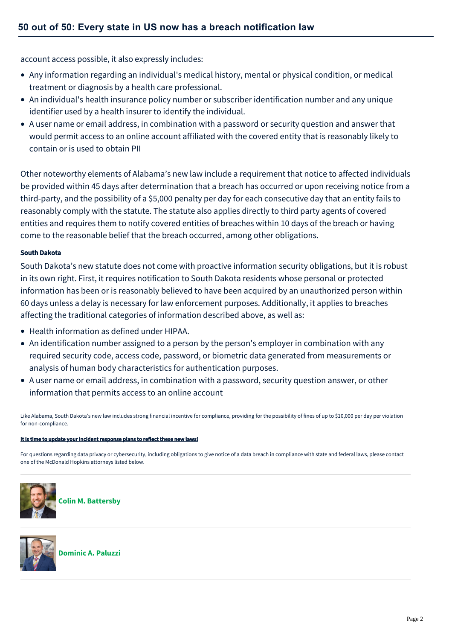account access possible, it also expressly includes:

- Any information regarding an individual's medical history, mental or physical condition, or medical treatment or diagnosis by a health care professional.
- An individual's health insurance policy number or subscriber identification number and any unique identifier used by a health insurer to identify the individual.
- A user name or email address, in combination with a password or security question and answer that would permit access to an online account affiliated with the covered entity that is reasonably likely to contain or is used to obtain PII

Other noteworthy elements of Alabama's new law include a requirement that notice to affected individuals be provided within 45 days after determination that a breach has occurred or upon receiving notice from a third-party, and the possibility of a \$5,000 penalty per day for each consecutive day that an entity fails to reasonably comply with the statute. The statute also applies directly to third party agents of covered entities and requires them to notify covered entities of breaches within 10 days of the breach or having come to the reasonable belief that the breach occurred, among other obligations.

#### South Dakota

South Dakota's new statute does not come with proactive information security obligations, but it is robust in its own right. First, it requires notification to South Dakota residents whose personal or protected information has been or is reasonably believed to have been acquired by an unauthorized person within 60 days unless a delay is necessary for law enforcement purposes. Additionally, it applies to breaches affecting the traditional categories of information described above, as well as:

- Health information as defined under HIPAA.
- An identification number assigned to a person by the person's employer in combination with any required security code, access code, password, or biometric data generated from measurements or analysis of human body characteristics for authentication purposes.
- A user name or email address, in combination with a password, security question answer, or other information that permits access to an online account

Like Alabama, South Dakota's new law includes strong financial incentive for compliance, providing for the possibility of fines of up to \$10,000 per day per violation for non-compliance.

#### It is time to update your incident response plans to reflect these new laws!

For questions regarding data privacy or cybersecurity, including obligations to give notice of a data breach in compliance with state and federal laws, please contact one of the McDonald Hopkins attorneys listed below.



**[Colin M. Battersby](https://mcdonaldhopkins.com/Team/Attorney/c/Colin-Battersby)**



**[Dominic A. Paluzzi](https://mcdonaldhopkins.com/Team/Attorney/d/Dominic-Paluzzi)**